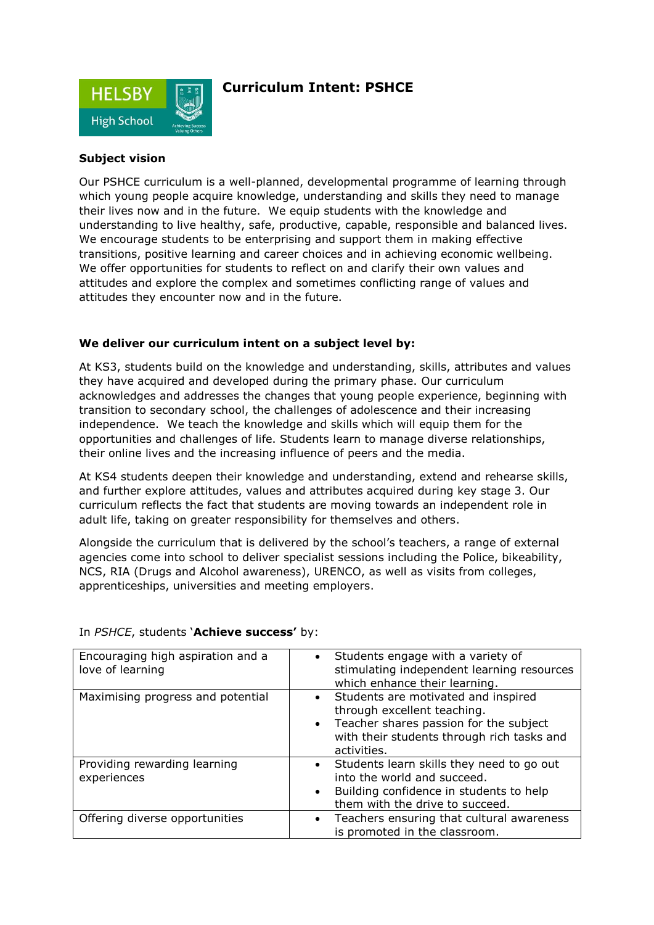

## **Curriculum Intent: PSHCE**

### **Subject vision**

Our PSHCE curriculum is a well-planned, developmental programme of learning through which young people acquire knowledge, understanding and skills they need to manage their lives now and in the future. We equip students with the knowledge and understanding to live healthy, safe, productive, capable, responsible and balanced lives. We encourage students to be enterprising and support them in making effective transitions, positive learning and career choices and in achieving economic wellbeing. We offer opportunities for students to reflect on and clarify their own values and attitudes and explore the complex and sometimes conflicting range of values and attitudes they encounter now and in the future.

#### **We deliver our curriculum intent on a subject level by:**

At KS3, students build on the knowledge and understanding, skills, attributes and values they have acquired and developed during the primary phase. Our curriculum acknowledges and addresses the changes that young people experience, beginning with transition to secondary school, the challenges of adolescence and their increasing independence. We teach the knowledge and skills which will equip them for the opportunities and challenges of life. Students learn to manage diverse relationships, their online lives and the increasing influence of peers and the media.

At KS4 students deepen their knowledge and understanding, extend and rehearse skills, and further explore attitudes, values and attributes acquired during key stage 3. Our curriculum reflects the fact that students are moving towards an independent role in adult life, taking on greater responsibility for themselves and others.

Alongside the curriculum that is delivered by the school's teachers, a range of external agencies come into school to deliver specialist sessions including the Police, bikeability, NCS, RIA (Drugs and Alcohol awareness), URENCO, as well as visits from colleges, apprenticeships, universities and meeting employers.

| Encouraging high aspiration and a<br>love of learning | Students engage with a variety of<br>$\bullet$<br>stimulating independent learning resources<br>which enhance their learning.                                             |
|-------------------------------------------------------|---------------------------------------------------------------------------------------------------------------------------------------------------------------------------|
| Maximising progress and potential                     | Students are motivated and inspired<br>through excellent teaching.<br>Teacher shares passion for the subject<br>with their students through rich tasks and<br>activities. |
| Providing rewarding learning<br>experiences           | Students learn skills they need to go out<br>into the world and succeed.<br>Building confidence in students to help<br>$\bullet$<br>them with the drive to succeed.       |
| Offering diverse opportunities                        | Teachers ensuring that cultural awareness<br>$\bullet$<br>is promoted in the classroom.                                                                                   |

#### In *PSHCE*, students '**Achieve success'** by: